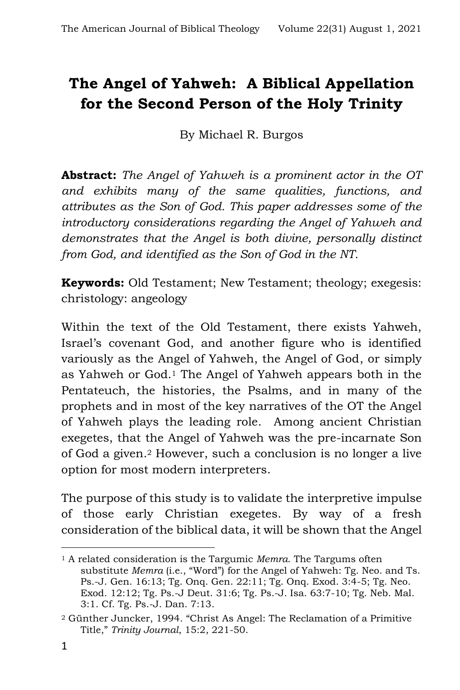# **The Angel of Yahweh: A Biblical Appellation for the Second Person of the Holy Trinity**

By Michael R. Burgos

**Abstract:** *The Angel of Yahweh is a prominent actor in the OT and exhibits many of the same qualities, functions, and attributes as the Son of God. This paper addresses some of the introductory considerations regarding the Angel of Yahweh and demonstrates that the Angel is both divine, personally distinct from God, and identified as the Son of God in the NT.*

**Keywords:** Old Testament; New Testament; theology; exegesis: christology: angeology

Within the text of the Old Testament, there exists Yahweh, Israel's covenant God, and another figure who is identified variously as the Angel of Yahweh, the Angel of God, or simply as Yahweh or God.<sup>1</sup> The Angel of Yahweh appears both in the Pentateuch, the histories, the Psalms, and in many of the prophets and in most of the key narratives of the OT the Angel of Yahweh plays the leading role. Among ancient Christian exegetes, that the Angel of Yahweh was the pre-incarnate Son of God a given.<sup>2</sup> However, such a conclusion is no longer a live option for most modern interpreters.

The purpose of this study is to validate the interpretive impulse of those early Christian exegetes. By way of a fresh consideration of the biblical data, it will be shown that the Angel

<sup>1</sup> A related consideration is the Targumic *Memra*. The Targums often substitute *Memra* (i.e., "Word") for the Angel of Yahweh: Tg. Neo. and Ts. Ps.-J. Gen. 16:13; Tg. Onq. Gen. 22:11; Tg. Onq. Exod. 3:4-5; Tg. Neo. Exod. 12:12; Tg. Ps.-J Deut. 31:6; Tg. Ps.-J. Isa. 63:7-10; Tg. Neb. Mal. 3:1. Cf. Tg. Ps.-J. Dan. 7:13.

<sup>2</sup> Günther Juncker, 1994. "Christ As Angel: The Reclamation of a Primitive Title," *Trinity Journal*, 15:2, 221-50.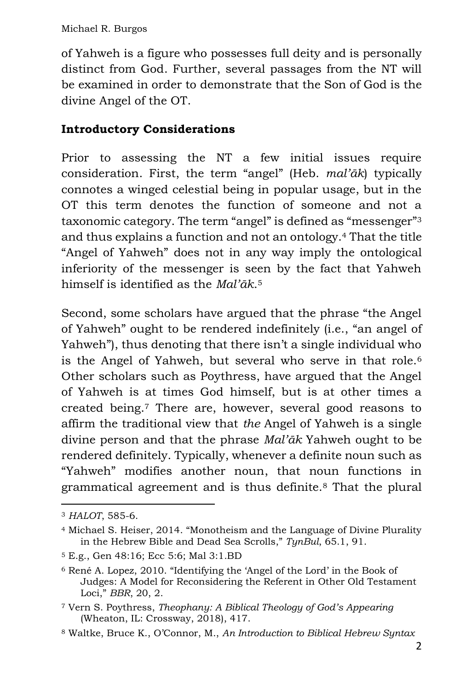of Yahweh is a figure who possesses full deity and is personally distinct from God. Further, several passages from the NT will be examined in order to demonstrate that the Son of God is the divine Angel of the OT.

# **Introductory Considerations**

Prior to assessing the NT a few initial issues require consideration. First, the term "angel" (Heb. *mal'āk*) typically connotes a winged celestial being in popular usage, but in the OT this term denotes the function of someone and not a taxonomic category. The term "angel" is defined as "messenger"<sup>3</sup> and thus explains a function and not an ontology.<sup>4</sup> That the title "Angel of Yahweh" does not in any way imply the ontological inferiority of the messenger is seen by the fact that Yahweh himself is identified as the *Mal'āk*. 5

Second, some scholars have argued that the phrase "the Angel of Yahweh" ought to be rendered indefinitely (i.e., "an angel of Yahweh"), thus denoting that there isn't a single individual who is the Angel of Yahweh, but several who serve in that role.<sup>6</sup> Other scholars such as Poythress, have argued that the Angel of Yahweh is at times God himself, but is at other times a created being.<sup>7</sup> There are, however, several good reasons to affirm the traditional view that *the* Angel of Yahweh is a single divine person and that the phrase *Mal'āk* Yahweh ought to be rendered definitely. Typically, whenever a definite noun such as "Yahweh" modifies another noun, that noun functions in grammatical agreement and is thus definite.<sup>8</sup> That the plural

<sup>3</sup> *HALOT*, 585-6.

<sup>4</sup> Michael S. Heiser, 2014. "Monotheism and the Language of Divine Plurality in the Hebrew Bible and Dead Sea Scrolls," *TynBul*, 65.1, 91.

<sup>5</sup> E.g., Gen 48:16; Ecc 5:6; Mal 3:1.BD

<sup>6</sup> René A. Lopez, 2010. "Identifying the 'Angel of the Lord' in the Book of Judges: A Model for Reconsidering the Referent in Other Old Testament Loci," *BBR*, 20, 2.

<sup>7</sup> Vern S. Poythress, *Theophany: A Biblical Theology of God's Appearing* (Wheaton, IL: Crossway, 2018), 417.

<sup>8</sup> Waltke, Bruce K., O'Connor, M., *An Introduction to Biblical Hebrew Syntax*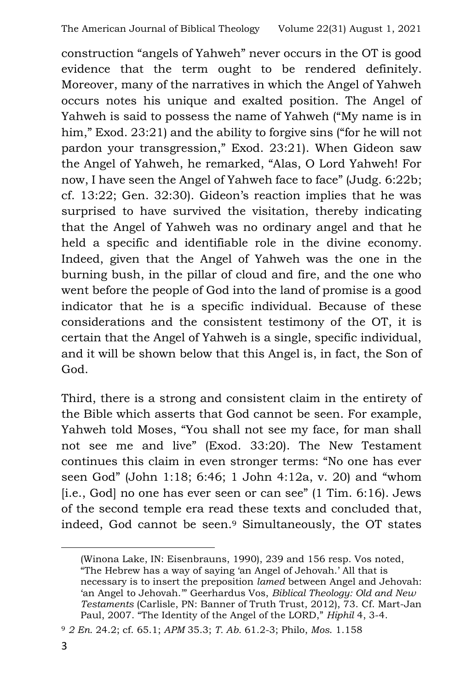construction "angels of Yahweh" never occurs in the OT is good evidence that the term ought to be rendered definitely. Moreover, many of the narratives in which the Angel of Yahweh occurs notes his unique and exalted position. The Angel of Yahweh is said to possess the name of Yahweh ("My name is in him," Exod. 23:21) and the ability to forgive sins ("for he will not pardon your transgression," Exod. 23:21). When Gideon saw the Angel of Yahweh, he remarked, "Alas, O Lord Yahweh! For now, I have seen the Angel of Yahweh face to face" (Judg. 6:22b; cf. 13:22; Gen. 32:30). Gideon's reaction implies that he was surprised to have survived the visitation, thereby indicating that the Angel of Yahweh was no ordinary angel and that he held a specific and identifiable role in the divine economy. Indeed, given that the Angel of Yahweh was the one in the burning bush, in the pillar of cloud and fire, and the one who went before the people of God into the land of promise is a good indicator that he is a specific individual. Because of these considerations and the consistent testimony of the OT, it is certain that the Angel of Yahweh is a single, specific individual, and it will be shown below that this Angel is, in fact, the Son of God.

Third, there is a strong and consistent claim in the entirety of the Bible which asserts that God cannot be seen. For example, Yahweh told Moses, "You shall not see my face, for man shall not see me and live" (Exod. 33:20). The New Testament continues this claim in even stronger terms: "No one has ever seen God" (John 1:18; 6:46; 1 John 4:12a, v. 20) and "whom [i.e., God] no one has ever seen or can see" (1 Tim. 6:16). Jews of the second temple era read these texts and concluded that, indeed, God cannot be seen.<sup>9</sup> Simultaneously, the OT states

<sup>(</sup>Winona Lake, IN: Eisenbrauns, 1990), 239 and 156 resp. Vos noted, "The Hebrew has a way of saying 'an Angel of Jehovah.' All that is necessary is to insert the preposition *lamed* between Angel and Jehovah: 'an Angel to Jehovah.'" Geerhardus Vos, *Biblical Theology: Old and New Testaments* (Carlisle, PN: Banner of Truth Trust, 2012), 73. Cf. Mart-Jan Paul, 2007. "The Identity of the Angel of the LORD," *Hiphil* 4, 3-4.

<sup>9</sup> *2 En.* 24.2; cf. 65.1; *APM* 35.3; *T. Ab.* 61.2-3; Philo, *Mos*. 1.158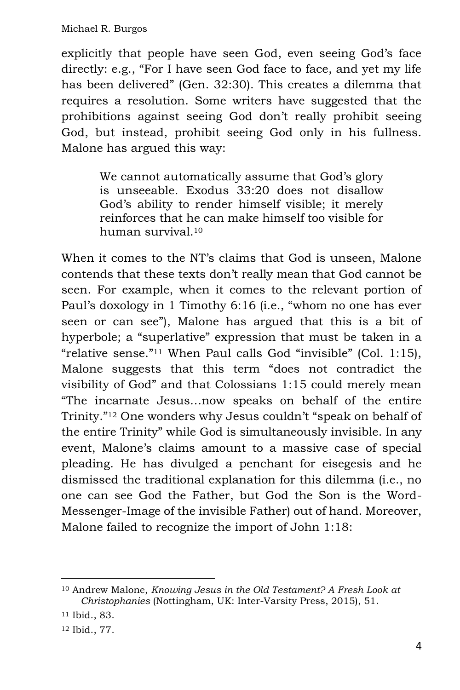explicitly that people have seen God, even seeing God's face directly: e.g., "For I have seen God face to face, and yet my life has been delivered" (Gen. 32:30). This creates a dilemma that requires a resolution. Some writers have suggested that the prohibitions against seeing God don't really prohibit seeing God, but instead, prohibit seeing God only in his fullness. Malone has argued this way:

> We cannot automatically assume that God's glory is unseeable. Exodus 33:20 does not disallow God's ability to render himself visible; it merely reinforces that he can make himself too visible for human survival.<sup>10</sup>

When it comes to the NT's claims that God is unseen, Malone contends that these texts don't really mean that God cannot be seen. For example, when it comes to the relevant portion of Paul's doxology in 1 Timothy 6:16 (i.e., "whom no one has ever seen or can see"), Malone has argued that this is a bit of hyperbole; a "superlative" expression that must be taken in a "relative sense."<sup>11</sup> When Paul calls God "invisible" (Col. 1:15), Malone suggests that this term "does not contradict the visibility of God" and that Colossians 1:15 could merely mean "The incarnate Jesus…now speaks on behalf of the entire Trinity."<sup>12</sup> One wonders why Jesus couldn't "speak on behalf of the entire Trinity" while God is simultaneously invisible. In any event, Malone's claims amount to a massive case of special pleading. He has divulged a penchant for eisegesis and he dismissed the traditional explanation for this dilemma (i.e., no one can see God the Father, but God the Son is the Word-Messenger-Image of the invisible Father) out of hand. Moreover, Malone failed to recognize the import of John 1:18:

<sup>12</sup> Ibid., 77.

<sup>10</sup> Andrew Malone, *Knowing Jesus in the Old Testament? A Fresh Look at Christophanies* (Nottingham, UK: Inter-Varsity Press, 2015), 51.

<sup>11</sup> Ibid., 83.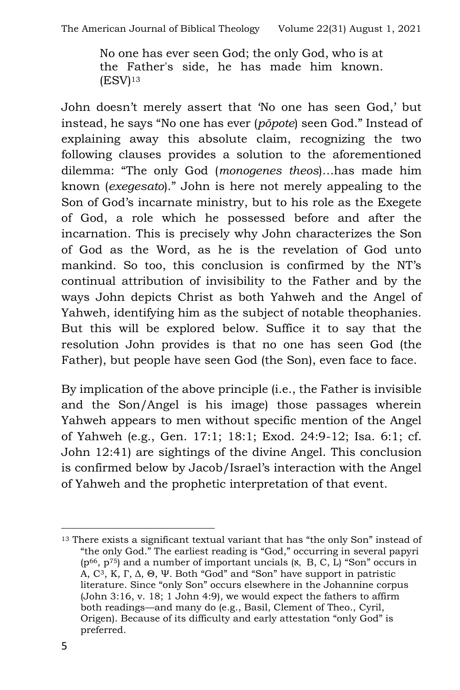No one has ever seen God; the only God, who is at the Father's side, he has made him known.  $(ESV)<sup>13</sup>$ 

John doesn't merely assert that 'No one has seen God,' but instead, he says "No one has ever (*pōpote*) seen God." Instead of explaining away this absolute claim, recognizing the two following clauses provides a solution to the aforementioned dilemma: "The only God (*monogenes theos*)…has made him known (*exegesato*)." John is here not merely appealing to the Son of God's incarnate ministry, but to his role as the Exegete of God, a role which he possessed before and after the incarnation. This is precisely why John characterizes the Son of God as the Word, as he is the revelation of God unto mankind. So too, this conclusion is confirmed by the NT's continual attribution of invisibility to the Father and by the ways John depicts Christ as both Yahweh and the Angel of Yahweh, identifying him as the subject of notable theophanies. But this will be explored below. Suffice it to say that the resolution John provides is that no one has seen God (the Father), but people have seen God (the Son), even face to face.

By implication of the above principle (i.e., the Father is invisible and the Son/Angel is his image) those passages wherein Yahweh appears to men without specific mention of the Angel of Yahweh (e.g., Gen. 17:1; 18:1; Exod. 24:9-12; Isa. 6:1; cf. John 12:41) are sightings of the divine Angel. This conclusion is confirmed below by Jacob/Israel's interaction with the Angel of Yahweh and the prophetic interpretation of that event.

<sup>13</sup> There exists a significant textual variant that has "the only Son" instead of "the only God." The earliest reading is "God," occurring in several papyri  $(p^{66}, p^{75})$  and a number of important uncials  $(x, B, C, L)$  "Son" occurs in A, C3, Κ, Γ, Δ, Θ, Ψ. Both "God" and "Son" have support in patristic literature. Since "only Son" occurs elsewhere in the Johannine corpus (John 3:16, v. 18; 1 John 4:9), we would expect the fathers to affirm both readings—and many do (e.g., Basil, Clement of Theo., Cyril, Origen). Because of its difficulty and early attestation "only God" is preferred.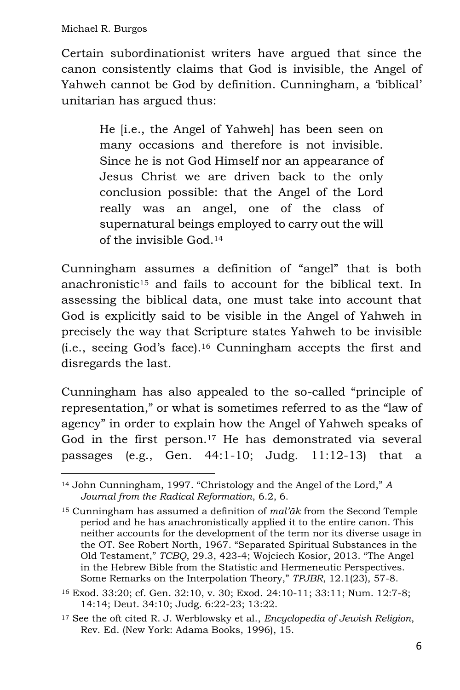Certain subordinationist writers have argued that since the canon consistently claims that God is invisible, the Angel of Yahweh cannot be God by definition. Cunningham, a 'biblical' unitarian has argued thus:

> He [i.e., the Angel of Yahweh] has been seen on many occasions and therefore is not invisible. Since he is not God Himself nor an appearance of Jesus Christ we are driven back to the only conclusion possible: that the Angel of the Lord really was an angel, one of the class of supernatural beings employed to carry out the will of the invisible God.<sup>14</sup>

Cunningham assumes a definition of "angel" that is both anachronistic<sup>15</sup> and fails to account for the biblical text. In assessing the biblical data, one must take into account that God is explicitly said to be visible in the Angel of Yahweh in precisely the way that Scripture states Yahweh to be invisible (i.e., seeing God's face).<sup>16</sup> Cunningham accepts the first and disregards the last.

Cunningham has also appealed to the so-called "principle of representation," or what is sometimes referred to as the "law of agency" in order to explain how the Angel of Yahweh speaks of God in the first person.<sup>17</sup> He has demonstrated via several passages (e.g., Gen. 44:1-10; Judg. 11:12-13) that a

<sup>14</sup> John Cunningham, 1997. "Christology and the Angel of the Lord," *A Journal from the Radical Reformation*, 6.2, 6.

<sup>15</sup> Cunningham has assumed a definition of *mal'āk* from the Second Temple period and he has anachronistically applied it to the entire canon. This neither accounts for the development of the term nor its diverse usage in the OT. See Robert North, 1967. "Separated Spiritual Substances in the Old Testament," *TCBQ*, 29.3, 423-4; Wojciech Kosior, 2013. "The Angel in the Hebrew Bible from the Statistic and Hermeneutic Perspectives. Some Remarks on the Interpolation Theory," *TPJBR*, 12.1(23), 57-8.

<sup>16</sup> Exod. 33:20; cf. Gen. 32:10, v. 30; Exod. 24:10-11; 33:11; Num. 12:7-8; 14:14; Deut. 34:10; Judg. 6:22-23; 13:22.

<sup>17</sup> See the oft cited R. J. Werblowsky et al., *Encyclopedia of Jewish Religion*, Rev. Ed. (New York: Adama Books, 1996), 15.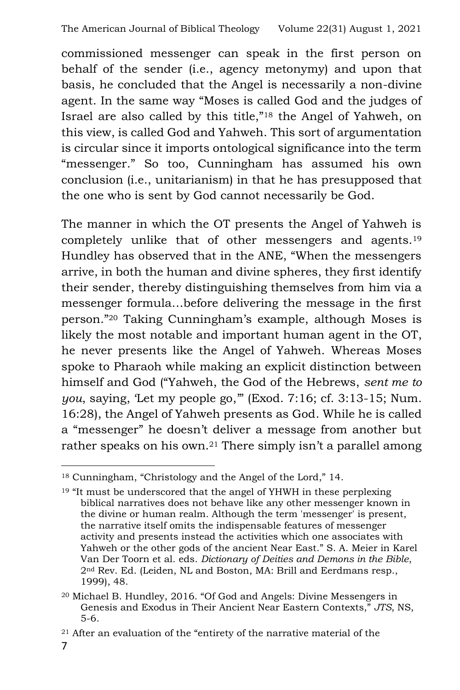commissioned messenger can speak in the first person on behalf of the sender (i.e., agency metonymy) and upon that basis, he concluded that the Angel is necessarily a non-divine agent. In the same way "Moses is called God and the judges of Israel are also called by this title,"<sup>18</sup> the Angel of Yahweh, on this view, is called God and Yahweh. This sort of argumentation is circular since it imports ontological significance into the term "messenger." So too, Cunningham has assumed his own conclusion (i.e., unitarianism) in that he has presupposed that the one who is sent by God cannot necessarily be God.

The manner in which the OT presents the Angel of Yahweh is completely unlike that of other messengers and agents.<sup>19</sup> Hundley has observed that in the ANE, "When the messengers arrive, in both the human and divine spheres, they first identify their sender, thereby distinguishing themselves from him via a messenger formula…before delivering the message in the first person."<sup>20</sup> Taking Cunningham's example, although Moses is likely the most notable and important human agent in the OT, he never presents like the Angel of Yahweh. Whereas Moses spoke to Pharaoh while making an explicit distinction between himself and God ("Yahweh, the God of the Hebrews, *sent me to you*, saying, 'Let my people go,'" (Exod. 7:16; cf. 3:13-15; Num. 16:28), the Angel of Yahweh presents as God. While he is called a "messenger" he doesn't deliver a message from another but rather speaks on his own.<sup>21</sup> There simply isn't a parallel among

<sup>18</sup> Cunningham, "Christology and the Angel of the Lord," 14.

<sup>&</sup>lt;sup>19</sup> "It must be underscored that the angel of YHWH in these perplexing biblical narratives does not behave like any other messenger known in the divine or human realm. Although the term 'messenger' is present, the narrative itself omits the indispensable features of messenger activity and presents instead the activities which one associates with Yahweh or the other gods of the ancient Near East." S. A. Meier in Karel Van Der Toorn et al. eds. *Dictionary of Deities and Demons in the Bible*, 2nd Rev. Ed. (Leiden, NL and Boston, MA: Brill and Eerdmans resp., 1999), 48.

<sup>20</sup> Michael B. Hundley, 2016. "Of God and Angels: Divine Messengers in Genesis and Exodus in Their Ancient Near Eastern Contexts," *JTS*, NS, 5-6.

<sup>21</sup> After an evaluation of the "entirety of the narrative material of the

<sup>7</sup>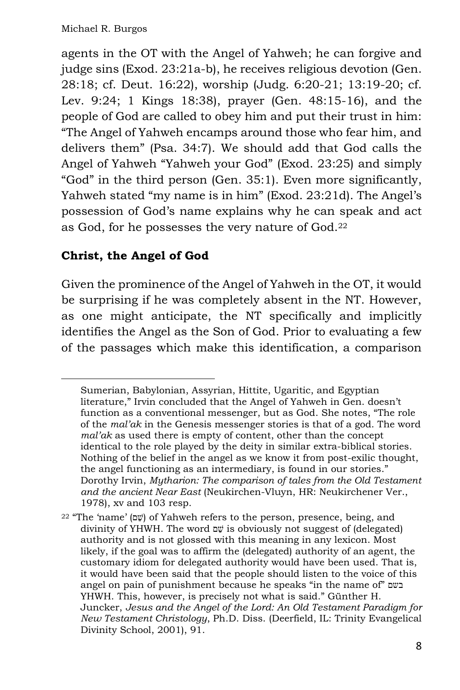agents in the OT with the Angel of Yahweh; he can forgive and judge sins (Exod. 23:21a-b), he receives religious devotion (Gen. 28:18; cf. Deut. 16:22), worship (Judg. 6:20-21; 13:19-20; cf. Lev. 9:24; 1 Kings 18:38), prayer (Gen. 48:15-16), and the people of God are called to obey him and put their trust in him: "The Angel of Yahweh encamps around those who fear him, and delivers them" (Psa. 34:7). We should add that God calls the Angel of Yahweh "Yahweh your God" (Exod. 23:25) and simply "God" in the third person (Gen. 35:1). Even more significantly, Yahweh stated "my name is in him" (Exod. 23:21d). The Angel's possession of God's name explains why he can speak and act as God, for he possesses the very nature of God.<sup>22</sup>

## **Christ, the Angel of God**

Given the prominence of the Angel of Yahweh in the OT, it would be surprising if he was completely absent in the NT. However, as one might anticipate, the NT specifically and implicitly identifies the Angel as the Son of God. Prior to evaluating a few of the passages which make this identification, a comparison

Sumerian, Babylonian, Assyrian, Hittite, Ugaritic, and Egyptian literature," Irvin concluded that the Angel of Yahweh in Gen. doesn't function as a conventional messenger, but as God. She notes, "The role of the *mal'ak* in the Genesis messenger stories is that of a god. The word *mal'ak* as used there is empty of content, other than the concept identical to the role played by the deity in similar extra-biblical stories. Nothing of the belief in the angel as we know it from post-exilic thought, the angel functioning as an intermediary, is found in our stories." Dorothy Irvin, *Mytharion: The comparison of tales from the Old Testament and the ancient Near East* (Neukirchen-Vluyn, HR: Neukirchener Ver., 1978), xv and 103 resp.

<sup>&</sup>lt;sup>22</sup> "The 'name' (שָׁם) of Yahweh refers to the person, presence, being, and divinity of YHWH. The word  $\nabla \psi$  is obviously not suggest of (delegated) authority and is not glossed with this meaning in any lexicon. Most likely, if the goal was to affirm the (delegated) authority of an agent, the customary idiom for delegated authority would have been used. That is, it would have been said that the people should listen to the voice of this angel on pain of punishment because he speaks "in the name of" בשם YHWH. This, however, is precisely not what is said." Günther H. Juncker, *Jesus and the Angel of the Lord: An Old Testament Paradigm for New Testament Christology*, Ph.D. Diss. (Deerfield, IL: Trinity Evangelical Divinity School, 2001), 91.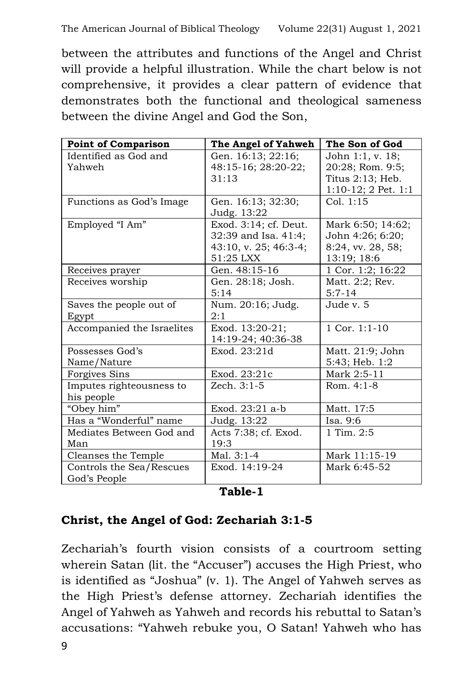between the attributes and functions of the Angel and Christ will provide a helpful illustration. While the chart below is not comprehensive, it provides a clear pattern of evidence that demonstrates both the functional and theological sameness between the divine Angel and God the Son,

| <b>Point of Comparison</b> | The Angel of Yahweh   | The Son of God           |
|----------------------------|-----------------------|--------------------------|
| Identified as God and      | Gen. 16:13; 22:16;    | John 1:1, v. 18;         |
| Yahweh                     | 48:15-16; 28:20-22;   | 20:28; Rom. 9:5;         |
|                            | 31:13                 | Titus 2:13; Heb.         |
|                            |                       | $1:10-12$ ; 2 Pet. $1:1$ |
| Functions as God's Image   | Gen. 16:13; 32:30;    | Col. 1:15                |
|                            | Judg. 13:22           |                          |
| Employed "I Am"            | Exod. 3:14; cf. Deut. | Mark 6:50; 14:62;        |
|                            | 32:39 and Isa. 41:4;  | John 4:26; 6:20;         |
|                            | 43:10, v. 25; 46:3-4; | 8:24, vv. 28, 58;        |
|                            | 51:25 LXX             | 13:19; 18:6              |
| Receives prayer            | Gen. 48:15-16         | 1 Cor. 1:2; 16:22        |
| Receives worship           | Gen. 28:18; Josh.     | Matt. 2:2; Rev.          |
|                            | 5:14                  | $5:7-14$                 |
| Saves the people out of    | Num. 20:16; Judg.     | Jude v. 5                |
| Egypt                      | 2:1                   |                          |
| Accompanied the Israelites | Exod. 13:20-21;       | $1$ Cor. $1:1-10$        |
|                            | 14:19-24; 40:36-38    |                          |
| Possesses God's            | Exod. 23:21d          | Matt. 21:9; John         |
| Name/Nature                |                       | 5:43; Heb. 1:2           |
| <b>Forgives Sins</b>       | Exod. 23:21c          | Mark 2:5-11              |
| Imputes righteousness to   | Zech. 3:1-5           | Rom. $4:1-8$             |
| his people                 |                       |                          |
| "Obey him"                 | Exod. 23:21 a-b       | Matt. 17:5               |
| Has a "Wonderful" name     | Judg. 13:22           | Isa. 9:6                 |
| Mediates Between God and   | Acts 7:38; cf. Exod.  | 1 Tim. 2:5               |
| Man                        | 19:3                  |                          |
| Cleanses the Temple        | Mal. $3:1-4$          | Mark 11:15-19            |
| Controls the Sea/Rescues   | Exod. 14:19-24        | Mark 6:45-52             |
| God's People               |                       |                          |

#### **Table-1**

#### **Christ, the Angel of God: Zechariah 3:1-5**

Zechariah's fourth vision consists of a courtroom setting wherein Satan (lit. the "Accuser") accuses the High Priest, who is identified as "Joshua" (v. 1). The Angel of Yahweh serves as the High Priest's defense attorney. Zechariah identifies the Angel of Yahweh as Yahweh and records his rebuttal to Satan's accusations: "Yahweh rebuke you, O Satan! Yahweh who has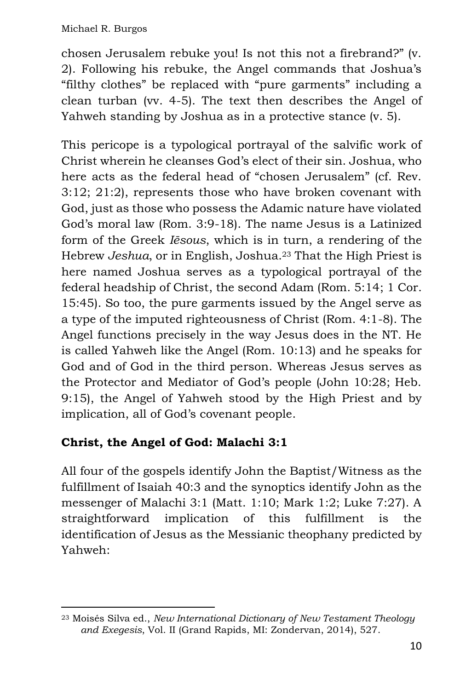chosen Jerusalem rebuke you! Is not this not a firebrand?" (v. 2). Following his rebuke, the Angel commands that Joshua's "filthy clothes" be replaced with "pure garments" including a clean turban (vv. 4-5). The text then describes the Angel of Yahweh standing by Joshua as in a protective stance (v. 5).

This pericope is a typological portrayal of the salvific work of Christ wherein he cleanses God's elect of their sin. Joshua, who here acts as the federal head of "chosen Jerusalem" (cf. Rev. 3:12; 21:2), represents those who have broken covenant with God, just as those who possess the Adamic nature have violated God's moral law (Rom. 3:9-18). The name Jesus is a Latinized form of the Greek *Iēsous*, which is in turn, a rendering of the Hebrew *Jeshua*, or in English, Joshua.<sup>23</sup> That the High Priest is here named Joshua serves as a typological portrayal of the federal headship of Christ, the second Adam (Rom. 5:14; 1 Cor. 15:45). So too, the pure garments issued by the Angel serve as a type of the imputed righteousness of Christ (Rom. 4:1-8). The Angel functions precisely in the way Jesus does in the NT. He is called Yahweh like the Angel (Rom. 10:13) and he speaks for God and of God in the third person. Whereas Jesus serves as the Protector and Mediator of God's people (John 10:28; Heb. 9:15), the Angel of Yahweh stood by the High Priest and by implication, all of God's covenant people.

# **Christ, the Angel of God: Malachi 3:1**

All four of the gospels identify John the Baptist/Witness as the fulfillment of Isaiah 40:3 and the synoptics identify John as the messenger of Malachi 3:1 (Matt. 1:10; Mark 1:2; Luke 7:27). A straightforward implication of this fulfillment is the identification of Jesus as the Messianic theophany predicted by Yahweh:

<sup>23</sup> Moisés Silva ed., *New International Dictionary of New Testament Theology and Exegesis*, Vol. II (Grand Rapids, MI: Zondervan, 2014), 527.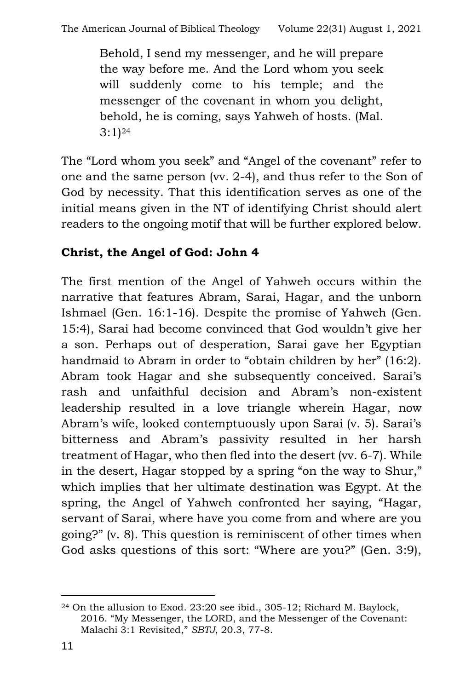Behold, I send my messenger, and he will prepare the way before me. And the Lord whom you seek will suddenly come to his temple; and the messenger of the covenant in whom you delight, behold, he is coming, says Yahweh of hosts. (Mal.  $3:1)$ <sup>24</sup>

The "Lord whom you seek" and "Angel of the covenant" refer to one and the same person (vv. 2-4), and thus refer to the Son of God by necessity. That this identification serves as one of the initial means given in the NT of identifying Christ should alert readers to the ongoing motif that will be further explored below.

# **Christ, the Angel of God: John 4**

The first mention of the Angel of Yahweh occurs within the narrative that features Abram, Sarai, Hagar, and the unborn Ishmael (Gen. 16:1-16). Despite the promise of Yahweh (Gen. 15:4), Sarai had become convinced that God wouldn't give her a son. Perhaps out of desperation, Sarai gave her Egyptian handmaid to Abram in order to "obtain children by her" (16:2). Abram took Hagar and she subsequently conceived. Sarai's rash and unfaithful decision and Abram's non-existent leadership resulted in a love triangle wherein Hagar, now Abram's wife, looked contemptuously upon Sarai (v. 5). Sarai's bitterness and Abram's passivity resulted in her harsh treatment of Hagar, who then fled into the desert (vv. 6-7). While in the desert, Hagar stopped by a spring "on the way to Shur," which implies that her ultimate destination was Egypt. At the spring, the Angel of Yahweh confronted her saying, "Hagar, servant of Sarai, where have you come from and where are you going?" (v. 8). This question is reminiscent of other times when God asks questions of this sort: "Where are you?" (Gen. 3:9),

<sup>24</sup> On the allusion to Exod. 23:20 see ibid., 305-12; Richard M. Baylock, 2016. "My Messenger, the LORD, and the Messenger of the Covenant: Malachi 3:1 Revisited," *SBTJ*, 20.3, 77-8.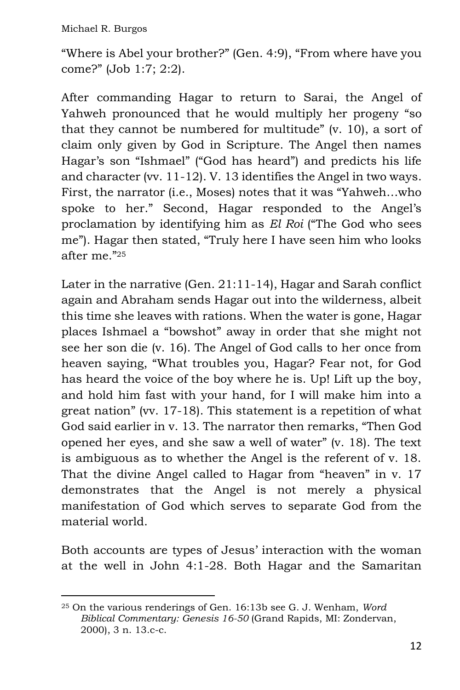"Where is Abel your brother?" (Gen. 4:9), "From where have you come?" (Job 1:7; 2:2).

After commanding Hagar to return to Sarai, the Angel of Yahweh pronounced that he would multiply her progeny "so that they cannot be numbered for multitude" (v. 10), a sort of claim only given by God in Scripture. The Angel then names Hagar's son "Ishmael" ("God has heard") and predicts his life and character (vv. 11-12). V. 13 identifies the Angel in two ways. First, the narrator (i.e., Moses) notes that it was "Yahweh…who spoke to her." Second, Hagar responded to the Angel's proclamation by identifying him as *El Roi* ("The God who sees me"). Hagar then stated, "Truly here I have seen him who looks after me."<sup>25</sup>

Later in the narrative (Gen. 21:11-14), Hagar and Sarah conflict again and Abraham sends Hagar out into the wilderness, albeit this time she leaves with rations. When the water is gone, Hagar places Ishmael a "bowshot" away in order that she might not see her son die (v. 16). The Angel of God calls to her once from heaven saying, "What troubles you, Hagar? Fear not, for God has heard the voice of the boy where he is. Up! Lift up the boy, and hold him fast with your hand, for I will make him into a great nation" (vv. 17-18). This statement is a repetition of what God said earlier in v. 13. The narrator then remarks, "Then God opened her eyes, and she saw a well of water" (v. 18). The text is ambiguous as to whether the Angel is the referent of v. 18. That the divine Angel called to Hagar from "heaven" in v. 17 demonstrates that the Angel is not merely a physical manifestation of God which serves to separate God from the material world.

Both accounts are types of Jesus' interaction with the woman at the well in John 4:1-28. Both Hagar and the Samaritan

<sup>25</sup> On the various renderings of Gen. 16:13b see G. J. Wenham, *Word Biblical Commentary: Genesis 16-50* (Grand Rapids, MI: Zondervan, 2000), 3 n. 13.c-c.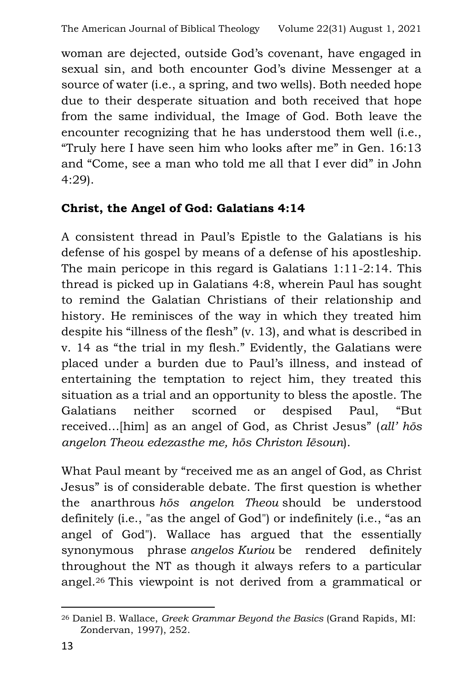woman are dejected, outside God's covenant, have engaged in sexual sin, and both encounter God's divine Messenger at a source of water (i.e., a spring, and two wells). Both needed hope due to their desperate situation and both received that hope from the same individual, the Image of God. Both leave the encounter recognizing that he has understood them well (i.e., "Truly here I have seen him who looks after me" in Gen. 16:13 and "Come, see a man who told me all that I ever did" in John 4:29).

## **Christ, the Angel of God: Galatians 4:14**

A consistent thread in Paul's Epistle to the Galatians is his defense of his gospel by means of a defense of his apostleship. The main pericope in this regard is Galatians 1:11-2:14. This thread is picked up in Galatians 4:8, wherein Paul has sought to remind the Galatian Christians of their relationship and history. He reminisces of the way in which they treated him despite his "illness of the flesh" (v. 13), and what is described in v. 14 as "the trial in my flesh." Evidently, the Galatians were placed under a burden due to Paul's illness, and instead of entertaining the temptation to reject him, they treated this situation as a trial and an opportunity to bless the apostle. The Galatians neither scorned or despised Paul, "But received…[him] as an angel of God, as Christ Jesus" (*all' hōs angelon Theou edezasthe me, hōs Christon Iēsoun*).

What Paul meant by "received me as an angel of God, as Christ Jesus" is of considerable debate. The first question is whether the anarthrous *hōs angelon Theou* should be understood definitely (i.e., "as the angel of God") or indefinitely (i.e., "as an angel of God"). Wallace has argued that the essentially synonymous phrase *angelos Kuriou* be rendered definitely throughout the NT as though it always refers to a particular angel.<sup>26</sup> This viewpoint is not derived from a grammatical or

<sup>26</sup> Daniel B. Wallace, *Greek Grammar Beyond the Basics* (Grand Rapids, MI: Zondervan, 1997), 252.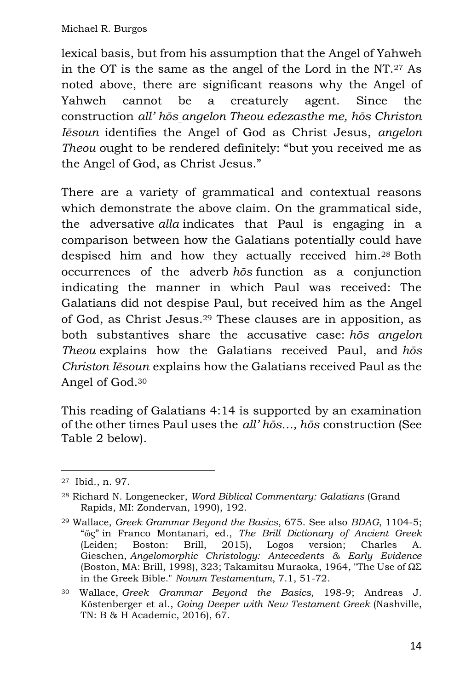lexical basis, but from his assumption that the Angel of Yahweh in the OT is the same as the angel of the Lord in the NT.<sup>27</sup> As noted above, there are significant reasons why the Angel of Yahweh cannot be a creaturely agent. Since the construction *all' hōs [a](https://www.blogger.com/u/1/null)ngelon Theou edezasthe me, hōs Christon Iēsoun* identifies the Angel of God as Christ Jesus, *angelon Theou* ought to be rendered definitely: "but you received me as the Angel of God, as Christ Jesus."

There are a variety of grammatical and contextual reasons which demonstrate the above claim. On the grammatical side, the adversative *alla* indicates that Paul is engaging in a comparison between how the Galatians potentially could have despised him and how they actually received him.<sup>28</sup> Both occurrences of the adverb *hōs* function as a conjunction indicating the manner in which Paul was received: The Galatians did not despise Paul, but received him as the Angel of God, as Christ Jesus.<sup>29</sup> These clauses are in apposition, as both substantives share the accusative case: *hōs angelon Theou* explains how the Galatians received Paul, and *hōs Christon Iēsoun* explains how the Galatians received Paul as the Angel of God. 30

This reading of Galatians 4:14 is supported by an examination of the other times Paul uses the *all' hōs…, hōs* construction (See Table 2 below).

<sup>27</sup> Ibid., n. 97.

<sup>28</sup> Richard N. Longenecker, *Word Biblical Commentary: Galatians* (Grand Rapids, MI: Zondervan, 1990), 192.

<sup>29</sup> Wallace, *Greek Grammar Beyond the Basics*, 675. See also *BDAG*, 1104-5; "ὥς" in Franco Montanari, ed., *The Brill Dictionary of Ancient Greek*  (Leiden; Boston: Brill, 2015), Logos version; Charles A. Gieschen, *Angelomorphic Christology: Antecedents & Early Evidence* (Boston, MA: Brill, 1998), 323; Takamitsu Muraoka, 1964, "The Use of ΩΣ in the Greek Bible." *Novum Testamentum*, 7.1, 51-72.

<sup>30</sup> Wallace, *Greek Grammar Beyond the Basics,* 198-9; Andreas J. Kӧstenberger et al., *Going Deeper with New Testament Greek* (Nashville, TN: B & H Academic, 2016), 67.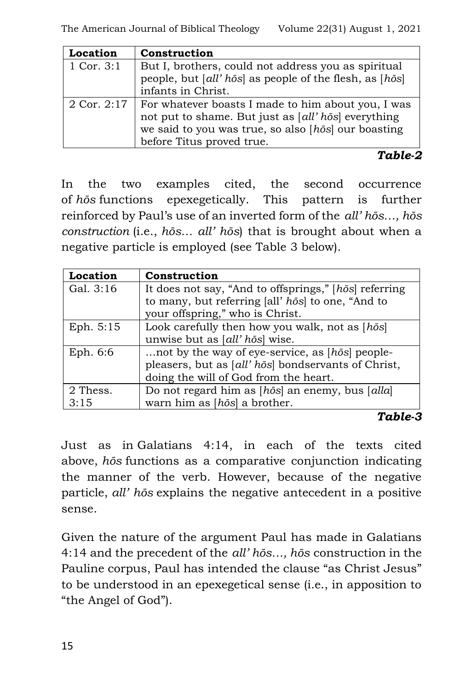| Location        | Construction                                                                                                                                                     |  |
|-----------------|------------------------------------------------------------------------------------------------------------------------------------------------------------------|--|
| 1 Cor. $3:1$    | But I, brothers, could not address you as spiritual                                                                                                              |  |
|                 | people, but [all' hōs] as people of the flesh, as [hōs]                                                                                                          |  |
|                 | infants in Christ.                                                                                                                                               |  |
| $2$ Cor. $2:17$ | For whatever boasts I made to him about you, I was<br>not put to shame. But just as [all' hōs] everything<br>we said to you was true, so also [hōs] our boasting |  |
|                 |                                                                                                                                                                  |  |
|                 | before Titus proved true.                                                                                                                                        |  |

*Table-2*

In the two examples cited, the second occurrence of *hōs* functions epexegetically. This pattern is further reinforced by Paul's use of an inverted form of the *all' hōs…, hōs construction* (i.e., *hōs… all' hōs*) that is brought about when a negative particle is employed (see Table 3 below).

| Location  | Construction                                           |  |
|-----------|--------------------------------------------------------|--|
| Gal. 3:16 | It does not say, "And to offsprings," [hōs] referring  |  |
|           | to many, but referring [all' hōs] to one, "And to      |  |
|           | your offspring," who is Christ.                        |  |
| Eph. 5:15 | Look carefully then how you walk, not as $[h\bar{o}s]$ |  |
|           | unwise but as [all' hōs] wise.                         |  |
| Eph. 6:6  | not by the way of eye-service, as [hōs] people-        |  |
|           | pleasers, but as [all' hōs] bondservants of Christ,    |  |
|           | doing the will of God from the heart.                  |  |
| 2 Thess.  | Do not regard him as [hōs] an enemy, bus [alla]        |  |
| 3:15      | warn him as $[h\bar{o}s]$ a brother.                   |  |

#### *Table-3*

Just as in Galatians 4:14, in each of the texts cited above, *hōs* functions as a comparative conjunction indicating the manner of the verb. However, because of the negative particle, *all' hōs* explains the negative antecedent in a positive sense.

Given the nature of the argument Paul has made in Galatians 4:14 and the precedent of the *all' hōs…, hōs* construction in the Pauline corpus, Paul has intended the clause "as Christ Jesus" to be understood in an epexegetical sense (i.e., in apposition to "the Angel of God").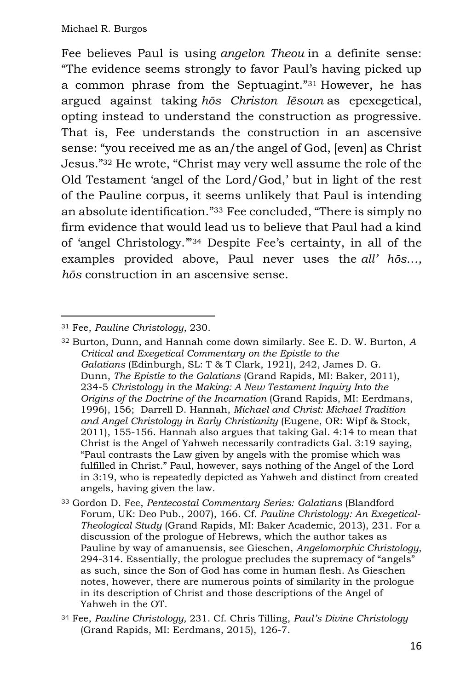Fee believes Paul is using *angelon Theou* in a definite sense: "The evidence seems strongly to favor Paul's having picked up a common phrase from the Septuagint."<sup>31</sup> However, he has argued against taking *hōs Christon Iēsoun* as epexegetical, opting instead to understand the construction as progressive. That is, Fee understands the construction in an ascensive sense: "you received me as an/the angel of God, [even] as Christ Jesus."<sup>32</sup> He wrote, "Christ may very well assume the role of the Old Testament 'angel of the Lord/God,' but in light of the rest of the Pauline corpus, it seems unlikely that Paul is intending an absolute identification."<sup>33</sup> Fee concluded, "There is simply no firm evidence that would lead us to believe that Paul had a kind of 'angel Christology.'"<sup>34</sup> Despite Fee's certainty, in all of the examples provided above, Paul never uses the *all' hōs…, hōs* construction in an ascensive sense.

<sup>31</sup> Fee, *Pauline Christology*, 230.

<sup>32</sup> Burton, Dunn, and Hannah come down similarly. See E. D. W. Burton, *A Critical and Exegetical Commentary on the Epistle to the Galatians* (Edinburgh, SL: T & T Clark, 1921), 242, James D. G. Dunn, *The Epistle to the Galatians* (Grand Rapids, MI: Baker, 2011), 234-5 *Christology in the Making: A New Testament Inquiry Into the Origins of the Doctrine of the Incarnation* (Grand Rapids, MI: Eerdmans, 1996), 156; Darrell D. Hannah, *Michael and Christ: Michael Tradition and Angel Christology in Early Christianity* (Eugene, OR: Wipf & Stock, 2011), 155-156. Hannah also argues that taking Gal. 4:14 to mean that Christ is the Angel of Yahweh necessarily contradicts Gal. 3:19 saying, "Paul contrasts the Law given by angels with the promise which was fulfilled in Christ." Paul, however, says nothing of the Angel of the Lord in 3:19, who is repeatedly depicted as Yahweh and distinct from created angels, having given the law.

<sup>33</sup> Gordon D. Fee, *Pentecostal Commentary Series: Galatians* (Blandford Forum, UK: Deo Pub., 2007), 166. Cf. *Pauline Christology: An Exegetical-Theological Study* (Grand Rapids, MI: Baker Academic, 2013), 231. For a discussion of the prologue of Hebrews, which the author takes as Pauline by way of amanuensis, see Gieschen, *Angelomorphic Christology*, 294-314. Essentially, the prologue precludes the supremacy of "angels" as such, since the Son of God has come in human flesh. As Gieschen notes, however, there are numerous points of similarity in the prologue in its description of Christ and those descriptions of the Angel of Yahweh in the OT.

<sup>34</sup> Fee, *Pauline Christology,* 231. Cf. Chris Tilling, *Paul's Divine Christology* (Grand Rapids, MI: Eerdmans, 2015), 126-7.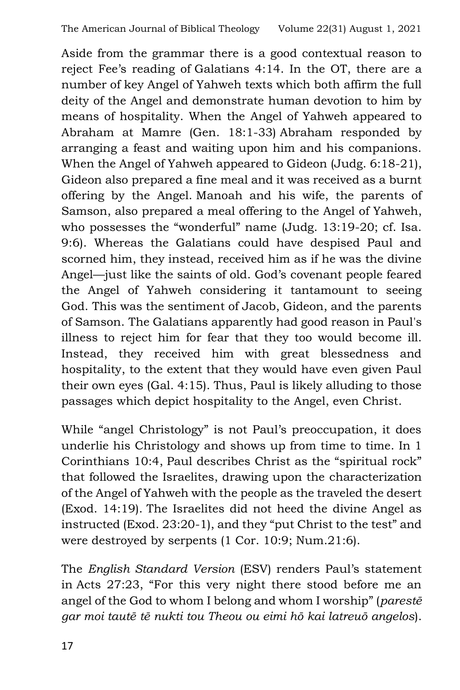Aside from the grammar there is a good contextual reason to reject Fee's reading of Galatians 4:14. In the OT, there are a number of key Angel of Yahweh texts which both affirm the full deity of the Angel and demonstrate human devotion to him by means of hospitality. When the Angel of Yahweh appeared to Abraham at Mamre (Gen. 18:1-33) Abraham responded by arranging a feast and waiting upon him and his companions. When the Angel of Yahweh appeared to Gideon (Judg. 6:18-21), Gideon also prepared a fine meal and it was received as a burnt offering by the Angel. Manoah and his wife, the parents of Samson, also prepared a meal offering to the Angel of Yahweh, who possesses the "wonderful" name (Judg. 13:19-20; cf. Isa. 9:6). Whereas the Galatians could have despised Paul and scorned him, they instead, received him as if he was the divine Angel—just like the saints of old. God's covenant people feared the Angel of Yahweh considering it tantamount to seeing God. This was the sentiment of Jacob, Gideon, and the parents of Samson. The Galatians apparently had good reason in Paul's illness to reject him for fear that they too would become ill. Instead, they received him with great blessedness and hospitality, to the extent that they would have even given Paul their own eyes (Gal. 4:15). Thus, Paul is likely alluding to those passages which depict hospitality to the Angel, even Christ.

While "angel Christology" is not Paul's preoccupation, it does underlie his Christology and shows up from time to time. In 1 Corinthians 10:4, Paul describes Christ as the "spiritual rock" that followed the Israelites, drawing upon the characterization of the Angel of Yahweh with the people as the traveled the desert (Exod. 14:19). The Israelites did not heed the divine Angel as instructed (Exod. 23:20-1), and they "put Christ to the test" and were destroyed by serpents (1 Cor. 10:9; Num.21:6).

The *English Standard Version* (ESV) renders Paul's statement in Acts 27:23, "For this very night there stood before me an angel of the God to whom I belong and whom I worship" (*parestē gar moi tautē tē nukti tou Theou ou eimi hō kai latreuō angelos*).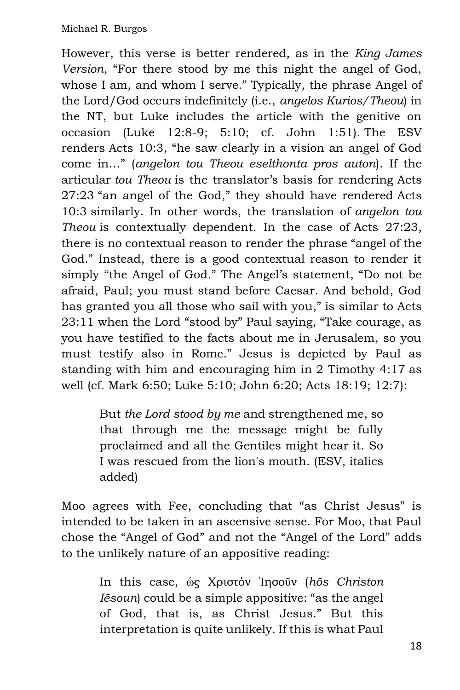However, this verse is better rendered, as in the *King James Version*, "For there stood by me this night the angel of God, whose I am, and whom I serve." Typically, the phrase Angel of the Lord/God occurs indefinitely (i.e., *angelos Kurios/Theou*) in the NT, but Luke includes the article with the genitive on occasion (Luke 12:8-9; 5:10; cf. John 1:51). The ESV renders Acts 10:3, "he saw clearly in a vision an angel of God come in…" (*angelon tou Theou eselthonta pros auton*). If the articular *tou Theou* is the translator's basis for rendering Acts 27:23 "an angel of the God," they should have rendered Acts 10:3 similarly. In other words, the translation of *angelon tou Theou* is contextually dependent. In the case of Acts 27:23, there is no contextual reason to render the phrase "angel of the God." Instead, there is a good contextual reason to render it simply "the Angel of God." The Angel's statement, "Do not be afraid, Paul; you must stand before Caesar. And behold, God has granted you all those who sail with you," is similar to Acts 23:11 when the Lord "stood by" Paul saying, "Take courage, as you have testified to the facts about me in Jerusalem, so you must testify also in Rome." Jesus is depicted by Paul as standing with him and encouraging him in 2 Timothy 4:17 as well (cf. Mark 6:50; Luke 5:10; John 6:20; Acts 18:19; 12:7):

> But *the Lord stood by me* and strengthened me, so that through me the message might be fully proclaimed and all the Gentiles might hear it. So I was rescued from the lion's mouth. (ESV, italics added)

Moo agrees with Fee, concluding that "as Christ Jesus" is intended to be taken in an ascensive sense. For Moo, that Paul chose the "Angel of God" and not the "Angel of the Lord" adds to the unlikely nature of an appositive reading:

> In this case, ὡς Χριστόν Ἰησοῦν (*hōs Christon Iēsoun*) could be a simple appositive: "as the angel of God, that is, as Christ Jesus." But this interpretation is quite unlikely. If this is what Paul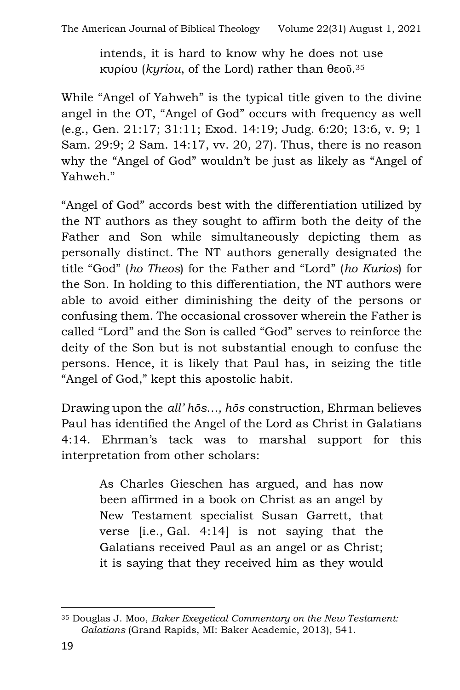intends, it is hard to know why he does not use κυρίου (*kyriou*, of the Lord) rather than θεοῦ. 35

While "Angel of Yahweh" is the typical title given to the divine angel in the OT, "Angel of God" occurs with frequency as well (e.g., Gen. 21:17; 31:11; Exod. 14:19; Judg. 6:20; 13:6, v. 9; 1 Sam. 29:9; 2 Sam. 14:17, vv. 20, 27). Thus, there is no reason why the "Angel of God" wouldn't be just as likely as "Angel of Yahweh."

"Angel of God" accords best with the differentiation utilized by the NT authors as they sought to affirm both the deity of the Father and Son while simultaneously depicting them as personally distinct. The NT authors generally designated the title "God" (*ho Theos*) for the Father and "Lord" (*ho Kurios*) for the Son. In holding to this differentiation, the NT authors were able to avoid either diminishing the deity of the persons or confusing them. The occasional crossover wherein the Father is called "Lord" and the Son is called "God" serves to reinforce the deity of the Son but is not substantial enough to confuse the persons. Hence, it is likely that Paul has, in seizing the title "Angel of God," kept this apostolic habit.

Drawing upon the *all' hōs…, hōs* construction, Ehrman believes Paul has identified the Angel of the Lord as Christ in Galatians 4:14. Ehrman's tack was to marshal support for this interpretation from other scholars:

> As Charles Gieschen has argued, and has now been affirmed in a book on Christ as an angel by New Testament specialist Susan Garrett, that verse [i.e., Gal. 4:14] is not saying that the Galatians received Paul as an angel or as Christ; it is saying that they received him as they would

<sup>35</sup> Douglas J. Moo, *Baker Exegetical Commentary on the New Testament: Galatians* (Grand Rapids, MI: Baker Academic, 2013), 541.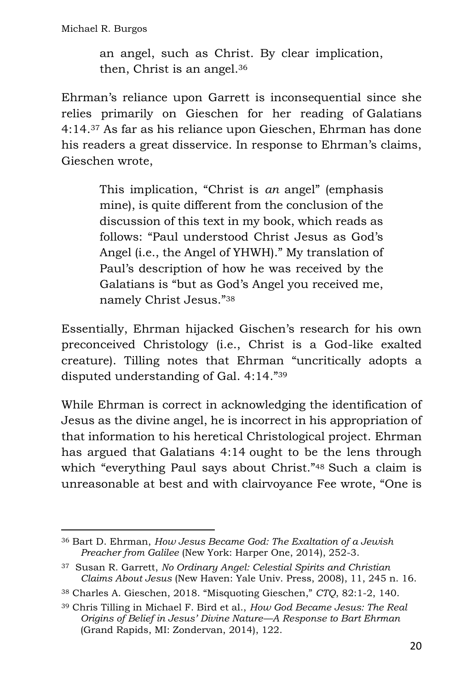an angel, such as Christ. By clear implication, then, Christ is an angel.<sup>36</sup>

Ehrman's reliance upon Garrett is inconsequential since she relies primarily on Gieschen for her reading of Galatians 4:14.<sup>37</sup> As far as his reliance upon Gieschen, Ehrman has done his readers a great disservice. In response to Ehrman's claims, Gieschen wrote,

> This implication, "Christ is *an* angel" (emphasis mine), is quite different from the conclusion of the discussion of this text in my book, which reads as follows: "Paul understood Christ Jesus as God's Angel (i.e., the Angel of YHWH)." My translation of Paul's description of how he was received by the Galatians is "but as God's Angel you received me, namely Christ Jesus."<sup>38</sup>

Essentially, Ehrman hijacked Gischen's research for his own preconceived Christology (i.e., Christ is a God-like exalted creature). Tilling notes that Ehrman "uncritically adopts a disputed understanding of Gal. 4:14."<sup>39</sup>

While Ehrman is correct in acknowledging the identification of Jesus as the divine angel, he is incorrect in his appropriation of that information to his heretical Christological project. Ehrman has argued that Galatians 4:14 ought to be the lens through which "everything Paul says about Christ."<sup>48</sup> Such a claim is unreasonable at best and with clairvoyance Fee wrote, "One is

<sup>36</sup> Bart D. Ehrman, *How Jesus Became God: The Exaltation of a Jewish Preacher from Galilee* (New York: Harper One, 2014), 252-3.

<sup>37</sup> Susan R. Garrett, *No Ordinary Angel: Celestial Spirits and Christian Claims About Jesus* (New Haven: Yale Univ. Press, 2008), 11, 245 n. 16.

<sup>38</sup> Charles A. Gieschen, 2018. "Misquoting Gieschen," *CTQ*, 82:1-2, 140.

<sup>39</sup> Chris Tilling in Michael F. Bird et al., *How God Became Jesus: The Real Origins of Belief in Jesus' Divine Nature—A Response to Bart Ehrman* (Grand Rapids, MI: Zondervan, 2014), 122.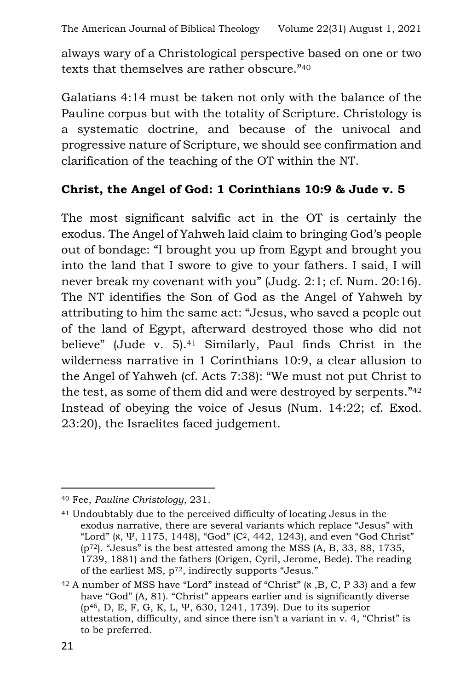always wary of a Christological perspective based on one or two texts that themselves are rather obscure."<sup>40</sup>

Galatians 4:14 must be taken not only with the balance of the Pauline corpus but with the totality of Scripture. Christology is a systematic doctrine, and because of the univocal and progressive nature of Scripture, we should see confirmation and clarification of the teaching of the OT within the NT.

### **Christ, the Angel of God: 1 Corinthians 10:9 & Jude v. 5**

The most significant salvific act in the OT is certainly the exodus. The Angel of Yahweh laid claim to bringing God's people out of bondage: "I brought you up from Egypt and brought you into the land that I swore to give to your fathers. I said, I will never break my covenant with you" (Judg. 2:1; cf. Num. 20:16). The NT identifies the Son of God as the Angel of Yahweh by attributing to him the same act: "Jesus, who saved a people out of the land of Egypt, afterward destroyed those who did not believe" (Jude v. 5).<sup>41</sup> Similarly, Paul finds Christ in the wilderness narrative in 1 Corinthians 10:9, a clear allusion to the Angel of Yahweh (cf. Acts 7:38): "We must not put Christ to the test, as some of them did and were destroyed by serpents."<sup>42</sup> Instead of obeying the voice of Jesus (Num. 14:22; cf. Exod. 23:20), the Israelites faced judgement.

<sup>40</sup> Fee, *Pauline Christology*, 231.

<sup>41</sup> Undoubtably due to the perceived difficulty of locating Jesus in the exodus narrative, there are several variants which replace "Jesus" with "Lord" (א, Ψ, 1175, 1448), "God" (C2, 442, 1243), and even "God Christ"  $(p<sup>72</sup>)$ . "Jesus" is the best attested among the MSS  $(A, B, 33, 88, 1735, ...)$ 1739, 1881) and the fathers (Origen, Cyril, Jerome, Bede). The reading of the earliest MS, p72, indirectly supports "Jesus."

<sup>42</sup> A number of MSS have "Lord" instead of "Christ" (א ,B, C, P 33) and a few have "God" (A, 81). "Christ" appears earlier and is significantly diverse (p46, D, E, F, G, K, L, Ψ, 630, 1241, 1739). Due to its superior attestation, difficulty, and since there isn't a variant in v. 4, "Christ" is to be preferred.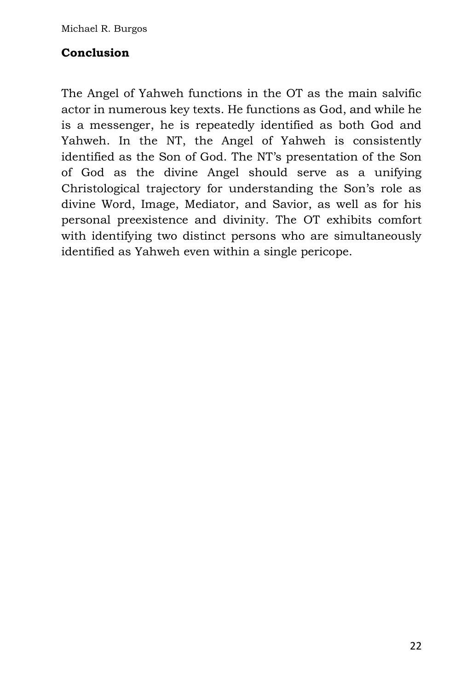#### **Conclusion**

The Angel of Yahweh functions in the OT as the main salvific actor in numerous key texts. He functions as God, and while he is a messenger, he is repeatedly identified as both God and Yahweh. In the NT, the Angel of Yahweh is consistently identified as the Son of God. The NT's presentation of the Son of God as the divine Angel should serve as a unifying Christological trajectory for understanding the Son's role as divine Word, Image, Mediator, and Savior, as well as for his personal preexistence and divinity. The OT exhibits comfort with identifying two distinct persons who are simultaneously identified as Yahweh even within a single pericope.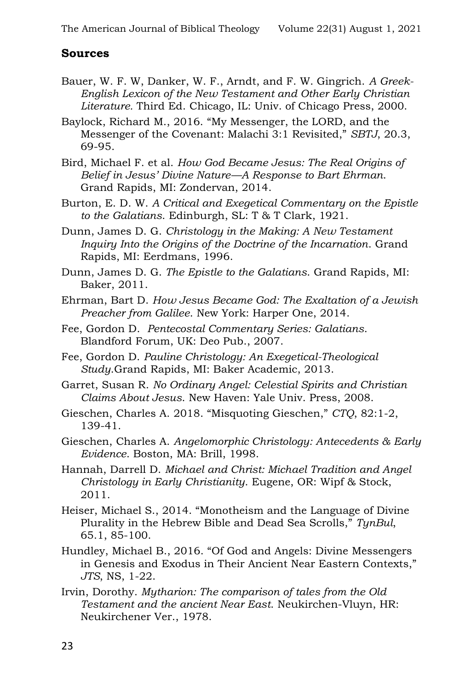#### **Sources**

- Bauer, W. F. W, Danker, W. F., Arndt, and F. W. Gingrich. *A Greek-English Lexicon of the New Testament and Other Early Christian Literature.* Third Ed. Chicago, IL: Univ. of Chicago Press, 2000.
- Baylock, Richard M., 2016. "My Messenger, the LORD, and the Messenger of the Covenant: Malachi 3:1 Revisited," *SBTJ*, 20.3, 69-95.
- Bird, Michael F. et al. *How God Became Jesus: The Real Origins of Belief in Jesus' Divine Nature—A Response to Bart Ehrman*. Grand Rapids, MI: Zondervan, 2014.
- Burton, E. D. W. *A Critical and Exegetical Commentary on the Epistle to the Galatians*. Edinburgh, SL: T & T Clark, 1921.
- Dunn, James D. G. *Christology in the Making: A New Testament Inquiry Into the Origins of the Doctrine of the Incarnation*. Grand Rapids, MI: Eerdmans, 1996.
- Dunn, James D. G. *The Epistle to the Galatians*. Grand Rapids, MI: Baker, 2011.
- Ehrman, Bart D. *How Jesus Became God: The Exaltation of a Jewish Preacher from Galilee*. New York: Harper One, 2014.
- Fee, Gordon D. *Pentecostal Commentary Series: Galatians*. Blandford Forum, UK: Deo Pub., 2007.
- Fee, Gordon D. *Pauline Christology: An Exegetical-Theological Study*.Grand Rapids, MI: Baker Academic, 2013.
- Garret, Susan R. *No Ordinary Angel: Celestial Spirits and Christian Claims About Jesus*. New Haven: Yale Univ. Press, 2008.
- Gieschen, Charles A. 2018. "Misquoting Gieschen," *CTQ*, 82:1-2, 139-41.
- Gieschen, Charles A. *Angelomorphic Christology: Antecedents & Early Evidence*. Boston, MA: Brill, 1998.
- Hannah, Darrell D. *Michael and Christ: Michael Tradition and Angel Christology in Early Christianity*. Eugene, OR: Wipf & Stock, 2011.
- Heiser, Michael S., 2014. "Monotheism and the Language of Divine Plurality in the Hebrew Bible and Dead Sea Scrolls," *TynBul*, 65.1, 85-100.
- Hundley, Michael B., 2016. "Of God and Angels: Divine Messengers in Genesis and Exodus in Their Ancient Near Eastern Contexts," *JTS*, NS, 1-22.
- Irvin, Dorothy. *Mytharion: The comparison of tales from the Old Testament and the ancient Near East*. Neukirchen-Vluyn, HR: Neukirchener Ver., 1978.